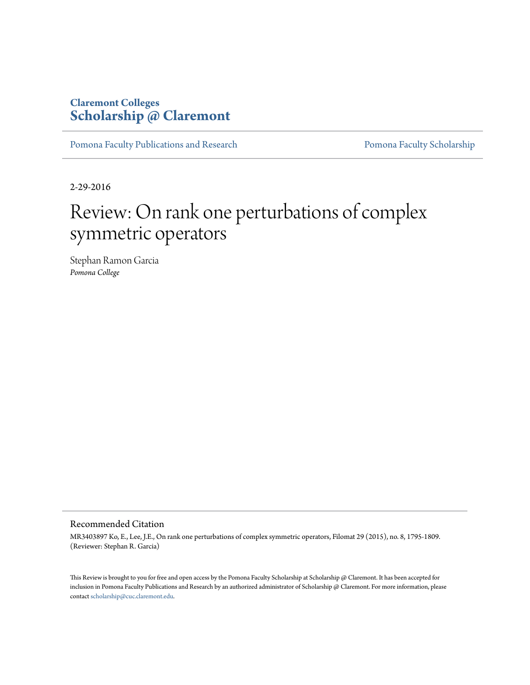## **Claremont Colleges [Scholarship @ Claremont](http://scholarship.claremont.edu)**

[Pomona Faculty Publications and Research](http://scholarship.claremont.edu/pomona_fac_pub) [Pomona Faculty Scholarship](http://scholarship.claremont.edu/pomona_faculty)

2-29-2016

## Review: On rank one perturbations of complex symmetric operators

Stephan Ramon Garcia *Pomona College*

## Recommended Citation

MR3403897 Ko, E., Lee, J.E., On rank one perturbations of complex symmetric operators, Filomat 29 (2015), no. 8, 1795-1809. (Reviewer: Stephan R. Garcia)

This Review is brought to you for free and open access by the Pomona Faculty Scholarship at Scholarship @ Claremont. It has been accepted for inclusion in Pomona Faculty Publications and Research by an authorized administrator of Scholarship @ Claremont. For more information, please contact [scholarship@cuc.claremont.edu](mailto:scholarship@cuc.claremont.edu).